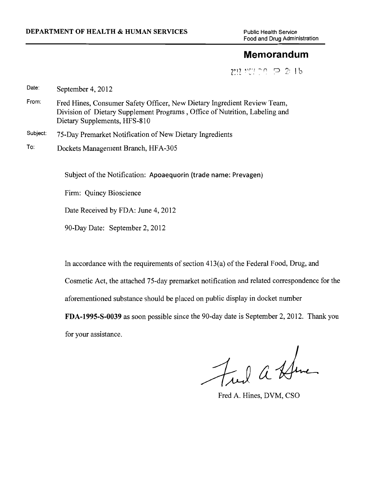Food and Drug Administration

## **Memorandum**

Z lll! ~Y'"! ..... ('\ Q *'!:* I b -' ' l.. .\_ ~ ·" • /........\_ ""

Date: September 4, 2012

- From: Fred Hines, Consumer Safety Officer, New Dietary Ingredient Review Team, Division of Dietary Supplement Programs , Office of Nutrition, Labeling and Dietary Supplements, HFS-810
- Subject: 75-Day Premarket Notification of New Dietary Ingredients
- To: Dockets Management Branch, HF A-305

Subject of the Notification: Apoaequorin (trade name: Prevagen)

Firm: Quincy Bioscience

Date Received by FDA: June 4, 2012

90-Day Date: September 2, 2012

In accordance with the requirements of section 413(a) of the Federal Food, Drug, and

Cosmetic Act, the attached 75-day premarket notification and related correspondence for the

aforementioned substance should be placed on public display in docket number

FDA-1995-S-0039 as soon possible since the 90-day date is September 2, 2012. Thank you for your assistance.

Fred a Hene

Fred A. Hines, DVM, CSO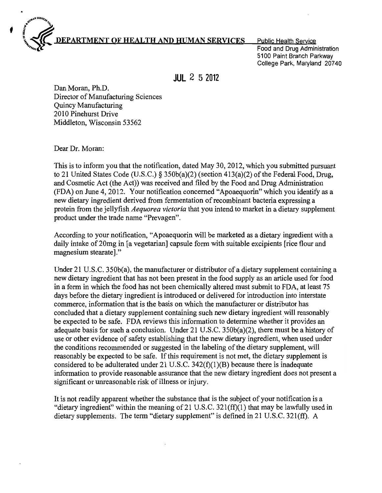

Food and Drug Administration 5100 Paint Branch Parkway College Park, Maryland 20740

**JUL** 2 5 **2012** 

Dan Moran, Ph.D. Director of Manufacturing Sciences Quincy Manufacturing 2010 Pinehurst Drive Middleton, Wisconsin 53562

Dear Dr. Moran:

, l,.Q~~'"'"~ ... <sup>~</sup>

This is to inform you that the notification, dated May 30, 2012, which you submitted pursuant to 21 United States Code (U.S.C.) § 350b(a)(2) (section 413(a)(2) of the Federal Food, Drug, and Cosmetic Act (the Act)) was received and filed by the Food and Drug Administration (FDA) on June 4, 2012. Your notification concerned "Apoaequorin" which you identify as a new dietary ingredient derived from fermentation of recombinant bacteria expressing a protein from the jellyfish *Aequorea victoria* that you intend to market in a dietary supplement product under the trade name "Prevagen".

According to your notification, "Apoaequorin will be marketed as a dietary ingredient with a daily intake of 20mg in [a vegetarian] capsule form with suitable excipients [rice flour and magnesium stearate]."

Under 21 U.S.C. 350b(a), the manufacturer or distributor of a dietary supplement containing a new dietary ingredient that has not been present in the food supply as an article used for food in a form in which the food has not been chemically altered must submit to FDA, at least 75 days before the dietary ingredient is introduced or delivered for introduction into interstate commerce, information that is the basis on which the manufacturer or distributor has concluded that a dietary supplement containing such new dietary ingredient will reasonably be expected to be safe. FDA reviews this information to determine whether it provides an adequate basis for such a conclusion. Under 21 U.S.C. 350b(a)(2), there must be a history of use or other evidence of safety establishing that the new dietary ingredient, when used under the conditions recommended or suggested in the labeling of the dietary supplement, will reasonably be expected to be safe. If this requirement is not met, the dietary supplement is considered to be adulterated under 21 U.S.C. 342(f)(1)(B) because there is inadequate information to provide reasonable assurance that the new dietary ingredient does not present a significant or unreasonable risk of illness or injury.

It is not readily apparent whether the substance that is the subject of your notification is a "dietary ingredient" within the meaning of 21 U.S.C.  $321(ff)(1)$  that may be lawfully used in dietary supplements. The term "dietary supplement" is defined in 21 U.S.C. 321(ff). A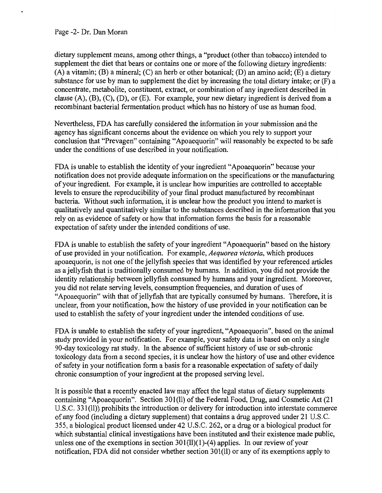Page -2- Dr. Dan Moran

dietary supplement means, among other things, a "product (other than tobacco) intended to supplement the diet that bears or contains one or more of the following dietary ingredients: (A) a vitamin; (B) a mineral; (C) an herb or other botanical; (D) an amino acid; (E) a dietary substance for use by man to supplement the diet by increasing the total dietary intake; or (F) a concentrate, metabolite, constituent, extract, or combination of any ingredient described in clause  $(A)$ ,  $(B)$ ,  $(C)$ ,  $(D)$ , or  $(E)$ . For example, your new dietary ingredient is derived from a recombinant bacterial fermentation product which has no history of use as human food.

Nevertheless, FDA has carefully considered the information in your submission and the agency has significant concerns about the evidence on which you rely to support your conclusion that "Prevagen" containing "Apoaequorin" will reasonably be expected to be safe under the conditions of use described in your notification.

FDA is unable to establish the identity of your ingredient "Apoaequorin" because your notification does not provide adequate information on the specifications or the manufacturing of your ingredient. For example, it is unclear how impurities are controlled to acceptable levels to ensure the reproducibility of your final product manufactured by recombinant bacteria. Without such information, it is unclear how the product you intend to market is qualitatively and quantitatively similar to the substances described in the information that you rely on as evidence of safety or how that information forms the basis for a reasonable expectation of safety under the intended conditions of use.

FDA is unable to establish the safety of your ingredient "Apoaequorin" based on the history of use provided in your notification. For example, *Aequorea victoria,* which produces apoaequorin, is not one of the jellyfish species that was identified by your referenced articles as a jellyfish that is traditionally consumed by humans. In addition, you did not provide the identity relationship between jellyfish consumed by humans and your ingredient. Moreover, you did not relate serving levels, consumption frequencies, and duration of uses of "Apoaequorin" with that of jellyfish that are typically consumed by humans. Therefore, it is unclear, from your notification, how the history of use provided in your notification can be used to establish the safety of your ingredient under the intended conditions of use.

FDA is unable to establish the safety of your ingredient, "Apoaequorin", based on the animal study provided in your notification. For example, your safety data is based on only a single 90-day toxicology rat study. In the absence of sufficient history of use or sub-chronic toxicology data from a second species, it is unclear how the history of use and other evidence of safety in your notification form a basis for a reasonable expectation of safety of daily chronic consumption of your ingredient at the proposed serving level.

It is possible that a recently enacted law may affect the legal status of dietary supplements containing "Apoaequorin". Section 30l(ll) of the Federal Food, Drug, and Cosmetic Act (21 U.S.C. 331(11)) prohibits the introduction or delivery for introduction into interstate commerce of any food (including a dietary supplement) that contains a drug approved under 21 U.S.C. 355, a biological product licensed under 42 U.S.C. 262, or a drug or a biological product for which substantial clinical investigations have been instituted and their existence made public, unless one of the exemptions in section 301(ll)(1)-(4) applies. In our review of your notification, FDA did not consider whether section 301(11) or any of its exemptions apply to